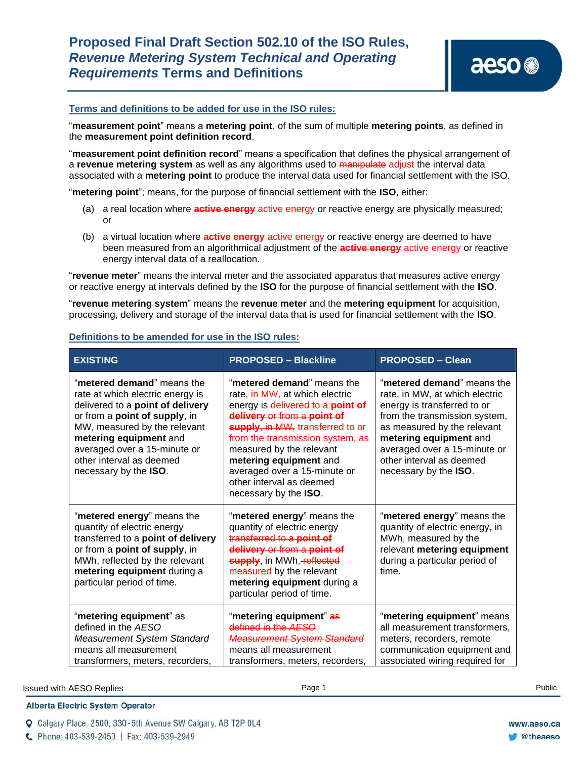# **Proposed Final Draft Section 502.10 of the ISO Rules,**  *Revenue Metering System Technical and Operating Requirements* **Terms and Definitions**

#### **Terms and definitions to be added for use in the ISO rules:**

"**measurement point**" means a **metering point**, of the sum of multiple **metering points**, as defined in the **measurement point definition record**.

"**measurement point definition record**" means a specification that defines the physical arrangement of a **revenue metering system** as well as any algorithms used to manipulate adjust the interval data associated with a **metering point** to produce the interval data used for financial settlement with the ISO.

"**metering point**"; means, for the purpose of financial settlement with the **ISO**, either:

- (a) a real location where **active energy** active energy or reactive energy are physically measured; or
- (b) a virtual location where **active energy** active energy or reactive energy are deemed to have been measured from an algorithmical adjustment of the **active energy** active energy or reactive energy interval data of a reallocation.

"**revenue meter**" means the interval meter and the associated apparatus that measures active energy or reactive energy at intervals defined by the **ISO** for the purpose of financial settlement with the **ISO**.

"**revenue metering system**" means the **revenue meter** and the **metering equipment** for acquisition, processing, delivery and storage of the interval data that is used for financial settlement with the **ISO**.

| <b>EXISTING</b>                                                                                                                                                                                                                                                                    | <b>PROPOSED - Blackline</b>                                                                                                                                                                                                                                                                                                                         | <b>PROPOSED - Clean</b>                                                                                                                                                                                                                                                    |
|------------------------------------------------------------------------------------------------------------------------------------------------------------------------------------------------------------------------------------------------------------------------------------|-----------------------------------------------------------------------------------------------------------------------------------------------------------------------------------------------------------------------------------------------------------------------------------------------------------------------------------------------------|----------------------------------------------------------------------------------------------------------------------------------------------------------------------------------------------------------------------------------------------------------------------------|
| "metered demand" means the<br>rate at which electric energy is<br>delivered to a point of delivery<br>or from a point of supply, in<br>MW, measured by the relevant<br>metering equipment and<br>averaged over a 15-minute or<br>other interval as deemed<br>necessary by the ISO. | "metered demand" means the<br>rate, in MW, at which electric<br>energy is delivered to a point of<br>delivery or from a point of<br>supply, in MW, transferred to or<br>from the transmission system, as<br>measured by the relevant<br>metering equipment and<br>averaged over a 15-minute or<br>other interval as deemed<br>necessary by the ISO. | "metered demand" means the<br>rate, in MW, at which electric<br>energy is transferred to or<br>from the transmission system,<br>as measured by the relevant<br>metering equipment and<br>averaged over a 15-minute or<br>other interval as deemed<br>necessary by the ISO. |
| "metered energy" means the<br>quantity of electric energy<br>transferred to a point of delivery<br>or from a point of supply, in<br>MWh, reflected by the relevant<br>metering equipment during a<br>particular period of time.                                                    | "metered energy" means the<br>quantity of electric energy<br>transferred to a point of<br>delivery or from a point of<br>supply, in MWh, reflected<br>measured by the relevant<br>metering equipment during a<br>particular period of time.                                                                                                         | "metered energy" means the<br>quantity of electric energy, in<br>MWh, measured by the<br>relevant metering equipment<br>during a particular period of<br>time.                                                                                                             |
| "metering equipment" as<br>defined in the AESO<br>Measurement System Standard<br>means all measurement<br>transformers, meters, recorders,                                                                                                                                         | "metering equipment" as<br>defined in the AESO<br><b>Measurement System Standard</b><br>means all measurement<br>transformers, meters, recorders,                                                                                                                                                                                                   | "metering equipment" means<br>all measurement transformers,<br>meters, recorders, remote<br>communication equipment and<br>associated wiring required for                                                                                                                  |

#### **Definitions to be amended for use in the ISO rules:**

#### **Issued with AESO Replies**  Page 1 **Public** Page 1 **Public** Page 1 **Public** Page 1 **Public** Public Public Public Public Public Public Public Public Public Public Public Public Public Public Public Public Public Public Publ

### **Alberta Electric System Operator**

Q Calgary Place, 2500, 330-5th Avenue SW Calgary, AB T2P 0L4

C Phone: 403-539-2450 | Fax: 403-539-2949